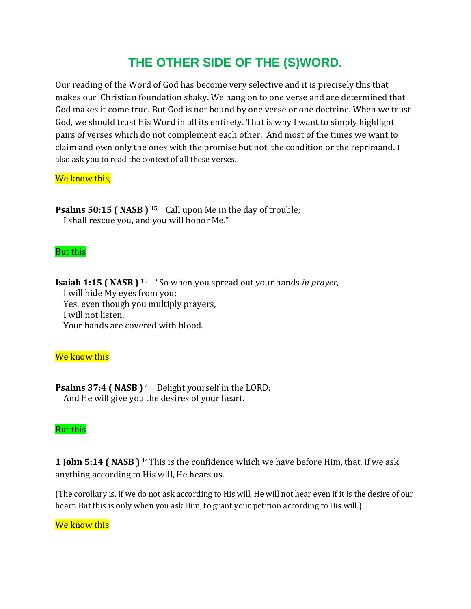# **THE OTHER SIDE OF THE (S)WORD.**

Our reading of the Word of God has become very selective and it is precisely this that makes our Christian foundation shaky. We hang on to one verse and are determined that God makes it come true. But God is not bound by one verse or one doctrine. When we trust God, we should trust His Word in all its entirety. That is why I want to simply highlight pairs of verses which do not complement each other. And most of the times we want to claim and own only the ones with the promise but not the condition or the reprimand. I also ask you to read the context of all these verses.

### We know this,

**Psalms 50:15 (NASB)** <sup>15</sup> Call upon Me in the day of trouble; I shall rescue you, and you will honor Me."

#### But this

**Isaiah 1:15 ( NASB )** <sup>15</sup> "So when you spread out your hands *in prayer,* I will hide My eyes from you; Yes, even though you multiply prayers, I will not listen.

Your hands are covered with blood.

#### We know this

**Psalms 37:4 ( NASB )** <sup>4</sup> Delight yourself in the LORD; And He will give you the desires of your heart.

#### But this

**1 John 5:14 ( NASB )** 14This is the confidence which we have before Him, that, if we ask anything according to His will, He hears us.

(The corollary is, if we do not ask according to His will, He will not hear even if it is the desire of our heart. But this is only when you ask Him, to grant your petition according to His will.)

#### We know this